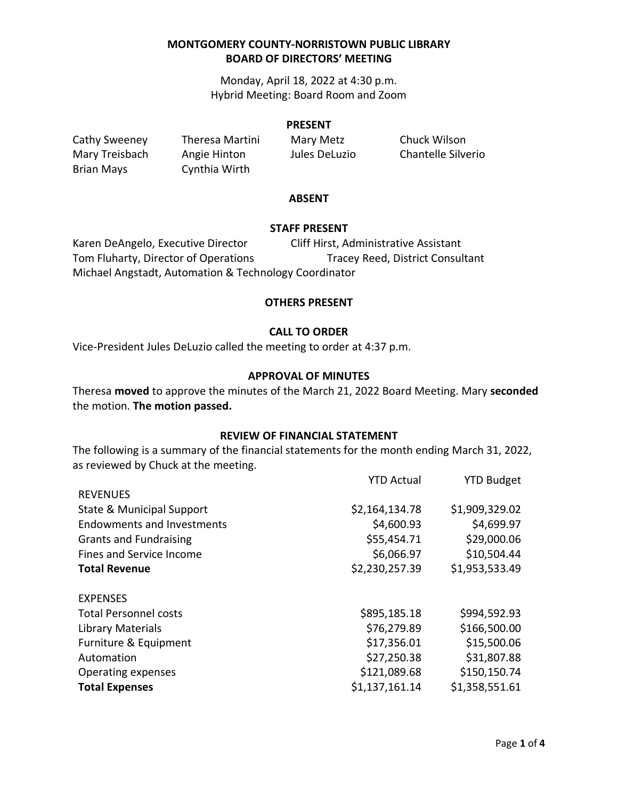Monday, April 18, 2022 at 4:30 p.m. Hybrid Meeting: Board Room and Zoom

#### **PRESENT**

Brian Mays Cynthia Wirth

Cathy Sweeney Theresa Martini Mary Metz Chuck Wilson

Mary Treisbach Angie Hinton Jules DeLuzio Chantelle Silverio

#### **ABSENT**

#### **STAFF PRESENT**

Karen DeAngelo, Executive Director Cliff Hirst, Administrative Assistant Tom Fluharty, Director of Operations Tracey Reed, District Consultant Michael Angstadt, Automation & Technology Coordinator

#### **OTHERS PRESENT**

### **CALL TO ORDER**

Vice-President Jules DeLuzio called the meeting to order at 4:37 p.m.

#### **APPROVAL OF MINUTES**

Theresa **moved** to approve the minutes of the March 21, 2022 Board Meeting. Mary **seconded** the motion. **The motion passed.**

### **REVIEW OF FINANCIAL STATEMENT**

The following is a summary of the financial statements for the month ending March 31, 2022, as reviewed by Chuck at the meeting.

|                                      | <b>YTD Actual</b> | <b>YTD Budget</b> |
|--------------------------------------|-------------------|-------------------|
| <b>REVENUES</b>                      |                   |                   |
| <b>State &amp; Municipal Support</b> | \$2,164,134.78    | \$1,909,329.02    |
| <b>Endowments and Investments</b>    | \$4,600.93        | \$4,699.97        |
| <b>Grants and Fundraising</b>        | \$55,454.71       | \$29,000.06       |
| Fines and Service Income             | \$6,066.97        | \$10,504.44       |
| <b>Total Revenue</b>                 | \$2,230,257.39    | \$1,953,533.49    |
| <b>EXPENSES</b>                      |                   |                   |
| <b>Total Personnel costs</b>         | \$895,185.18      | \$994,592.93      |
| Library Materials                    | \$76,279.89       | \$166,500.00      |
| Furniture & Equipment                | \$17,356.01       | \$15,500.06       |
| Automation                           | \$27,250.38       | \$31,807.88       |
| Operating expenses                   | \$121,089.68      | \$150,150.74      |
| <b>Total Expenses</b>                | \$1,137,161.14    | \$1,358,551.61    |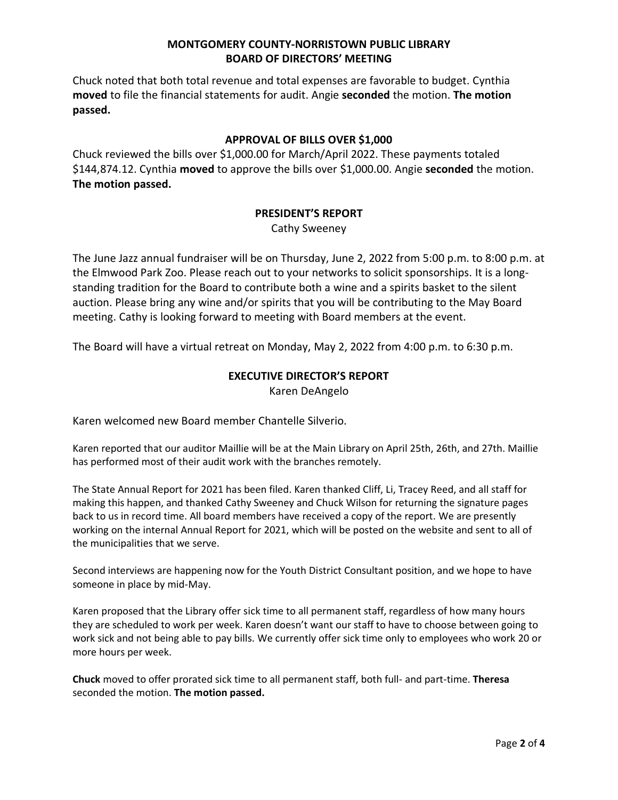Chuck noted that both total revenue and total expenses are favorable to budget. Cynthia **moved** to file the financial statements for audit. Angie **seconded** the motion. **The motion passed.**

# **APPROVAL OF BILLS OVER \$1,000**

Chuck reviewed the bills over \$1,000.00 for March/April 2022. These payments totaled \$144,874.12. Cynthia **moved** to approve the bills over \$1,000.00. Angie **seconded** the motion. **The motion passed.**

# **PRESIDENT'S REPORT**

Cathy Sweeney

The June Jazz annual fundraiser will be on Thursday, June 2, 2022 from 5:00 p.m. to 8:00 p.m. at the Elmwood Park Zoo. Please reach out to your networks to solicit sponsorships. It is a longstanding tradition for the Board to contribute both a wine and a spirits basket to the silent auction. Please bring any wine and/or spirits that you will be contributing to the May Board meeting. Cathy is looking forward to meeting with Board members at the event.

The Board will have a virtual retreat on Monday, May 2, 2022 from 4:00 p.m. to 6:30 p.m.

### **EXECUTIVE DIRECTOR'S REPORT**

Karen DeAngelo

Karen welcomed new Board member Chantelle Silverio.

Karen reported that our auditor Maillie will be at the Main Library on April 25th, 26th, and 27th. Maillie has performed most of their audit work with the branches remotely.

The State Annual Report for 2021 has been filed. Karen thanked Cliff, Li, Tracey Reed, and all staff for making this happen, and thanked Cathy Sweeney and Chuck Wilson for returning the signature pages back to us in record time. All board members have received a copy of the report. We are presently working on the internal Annual Report for 2021, which will be posted on the website and sent to all of the municipalities that we serve.

Second interviews are happening now for the Youth District Consultant position, and we hope to have someone in place by mid-May.

Karen proposed that the Library offer sick time to all permanent staff, regardless of how many hours they are scheduled to work per week. Karen doesn't want our staff to have to choose between going to work sick and not being able to pay bills. We currently offer sick time only to employees who work 20 or more hours per week.

**Chuck** moved to offer prorated sick time to all permanent staff, both full- and part-time. **Theresa** seconded the motion. **The motion passed.**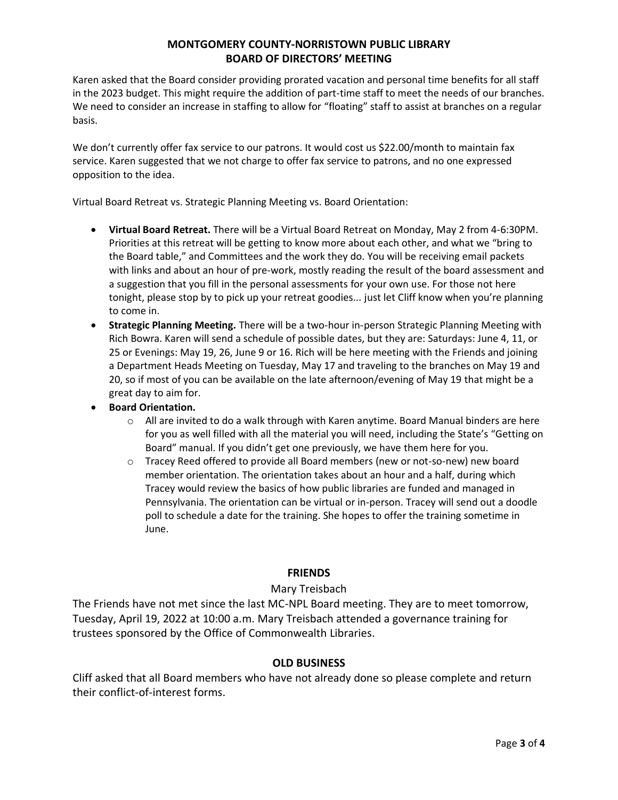Karen asked that the Board consider providing prorated vacation and personal time benefits for all staff in the 2023 budget. This might require the addition of part-time staff to meet the needs of our branches. We need to consider an increase in staffing to allow for "floating" staff to assist at branches on a regular basis.

We don't currently offer fax service to our patrons. It would cost us \$22.00/month to maintain fax service. Karen suggested that we not charge to offer fax service to patrons, and no one expressed opposition to the idea.

Virtual Board Retreat vs. Strategic Planning Meeting vs. Board Orientation:

- **Virtual Board Retreat.** There will be a Virtual Board Retreat on Monday, May 2 from 4-6:30PM. Priorities at this retreat will be getting to know more about each other, and what we "bring to the Board table," and Committees and the work they do. You will be receiving email packets with links and about an hour of pre-work, mostly reading the result of the board assessment and a suggestion that you fill in the personal assessments for your own use. For those not here tonight, please stop by to pick up your retreat goodies... just let Cliff know when you're planning to come in.
- **Strategic Planning Meeting.** There will be a two-hour in-person Strategic Planning Meeting with Rich Bowra. Karen will send a schedule of possible dates, but they are: Saturdays: June 4, 11, or 25 or Evenings: May 19, 26, June 9 or 16. Rich will be here meeting with the Friends and joining a Department Heads Meeting on Tuesday, May 17 and traveling to the branches on May 19 and 20, so if most of you can be available on the late afternoon/evening of May 19 that might be a great day to aim for.
- **Board Orientation.** 
	- $\circ$  All are invited to do a walk through with Karen anytime. Board Manual binders are here for you as well filled with all the material you will need, including the State's "Getting on Board" manual. If you didn't get one previously, we have them here for you.
	- o Tracey Reed offered to provide all Board members (new or not-so-new) new board member orientation. The orientation takes about an hour and a half, during which Tracey would review the basics of how public libraries are funded and managed in Pennsylvania. The orientation can be virtual or in-person. Tracey will send out a doodle poll to schedule a date for the training. She hopes to offer the training sometime in June.

# **FRIENDS**

# Mary Treisbach

The Friends have not met since the last MC-NPL Board meeting. They are to meet tomorrow, Tuesday, April 19, 2022 at 10:00 a.m. Mary Treisbach attended a governance training for trustees sponsored by the Office of Commonwealth Libraries.

# **OLD BUSINESS**

Cliff asked that all Board members who have not already done so please complete and return their conflict-of-interest forms.